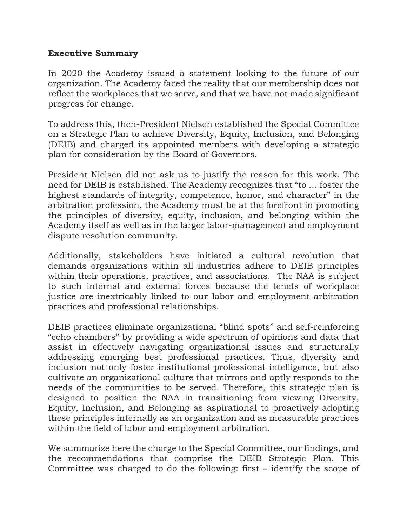## **Executive Summary**

In 2020 the Academy issued a statement looking to the future of our organization. The Academy faced the reality that our membership does not reflect the workplaces that we serve, and that we have not made significant progress for change.

To address this, then-President Nielsen established the Special Committee on a Strategic Plan to achieve Diversity, Equity, Inclusion, and Belonging (DEIB) and charged its appointed members with developing a strategic plan for consideration by the Board of Governors.

President Nielsen did not ask us to justify the reason for this work. The need for DEIB is established. The Academy recognizes that "to … foster the highest standards of integrity, competence, honor, and character" in the arbitration profession, the Academy must be at the forefront in promoting the principles of diversity, equity, inclusion, and belonging within the Academy itself as well as in the larger labor-management and employment dispute resolution community.

Additionally, stakeholders have initiated a cultural revolution that demands organizations within all industries adhere to DEIB principles within their operations, practices, and associations. The NAA is subject to such internal and external forces because the tenets of workplace justice are inextricably linked to our labor and employment arbitration practices and professional relationships.

DEIB practices eliminate organizational "blind spots" and self-reinforcing "echo chambers" by providing a wide spectrum of opinions and data that assist in effectively navigating organizational issues and structurally addressing emerging best professional practices. Thus, diversity and inclusion not only foster institutional professional intelligence, but also cultivate an organizational culture that mirrors and aptly responds to the needs of the communities to be served. Therefore, this strategic plan is designed to position the NAA in transitioning from viewing Diversity, Equity, Inclusion, and Belonging as aspirational to proactively adopting these principles internally as an organization and as measurable practices within the field of labor and employment arbitration.

We summarize here the charge to the Special Committee, our findings, and the recommendations that comprise the DEIB Strategic Plan. This Committee was charged to do the following: first – identify the scope of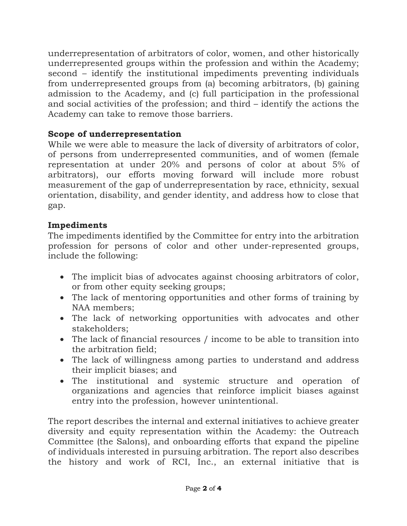underrepresentation of arbitrators of color, women, and other historically underrepresented groups within the profession and within the Academy; second – identify the institutional impediments preventing individuals from underrepresented groups from (a) becoming arbitrators, (b) gaining admission to the Academy, and (c) full participation in the professional and social activities of the profession; and third – identify the actions the Academy can take to remove those barriers.

## **Scope of underrepresentation**

While we were able to measure the lack of diversity of arbitrators of color, of persons from underrepresented communities, and of women (female representation at under 20% and persons of color at about 5% of arbitrators), our efforts moving forward will include more robust measurement of the gap of underrepresentation by race, ethnicity, sexual orientation, disability, and gender identity, and address how to close that gap.

## **Impediments**

The impediments identified by the Committee for entry into the arbitration profession for persons of color and other under-represented groups, include the following:

- The implicit bias of advocates against choosing arbitrators of color, or from other equity seeking groups;
- The lack of mentoring opportunities and other forms of training by NAA members;
- The lack of networking opportunities with advocates and other stakeholders;
- The lack of financial resources / income to be able to transition into the arbitration field;
- The lack of willingness among parties to understand and address their implicit biases; and
- The institutional and systemic structure and operation of organizations and agencies that reinforce implicit biases against entry into the profession, however unintentional.

The report describes the internal and external initiatives to achieve greater diversity and equity representation within the Academy: the Outreach Committee (the Salons), and onboarding efforts that expand the pipeline of individuals interested in pursuing arbitration. The report also describes the history and work of RCI, Inc., an external initiative that is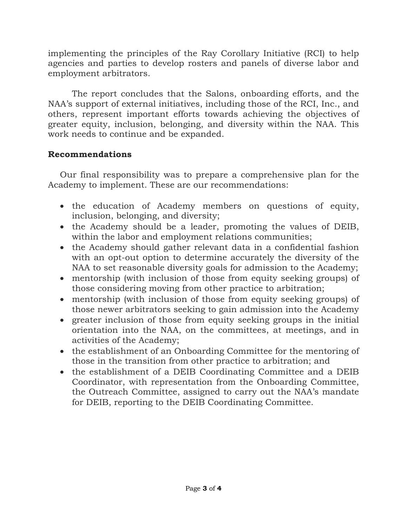implementing the principles of the Ray Corollary Initiative (RCI) to help agencies and parties to develop rosters and panels of diverse labor and employment arbitrators.

The report concludes that the Salons, onboarding efforts, and the NAA's support of external initiatives, including those of the RCI, Inc., and others, represent important efforts towards achieving the objectives of greater equity, inclusion, belonging, and diversity within the NAA. This work needs to continue and be expanded.

## **Recommendations**

Our final responsibility was to prepare a comprehensive plan for the Academy to implement. These are our recommendations:

- the education of Academy members on questions of equity, inclusion, belonging, and diversity;
- the Academy should be a leader, promoting the values of DEIB, within the labor and employment relations communities;
- the Academy should gather relevant data in a confidential fashion with an opt-out option to determine accurately the diversity of the NAA to set reasonable diversity goals for admission to the Academy;
- mentorship (with inclusion of those from equity seeking groups) of those considering moving from other practice to arbitration;
- mentorship (with inclusion of those from equity seeking groups) of those newer arbitrators seeking to gain admission into the Academy
- greater inclusion of those from equity seeking groups in the initial orientation into the NAA, on the committees, at meetings, and in activities of the Academy;
- the establishment of an Onboarding Committee for the mentoring of those in the transition from other practice to arbitration; and
- the establishment of a DEIB Coordinating Committee and a DEIB Coordinator, with representation from the Onboarding Committee, the Outreach Committee, assigned to carry out the NAA's mandate for DEIB, reporting to the DEIB Coordinating Committee.